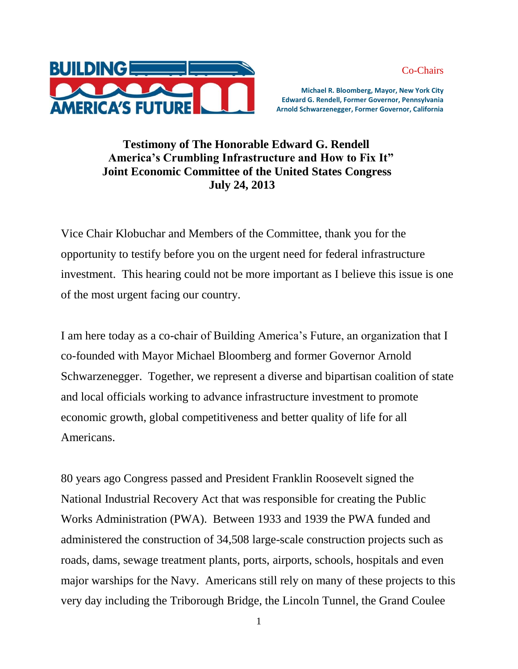Co-Chairs



 **Michael R. Bloomberg, Mayor, New York City Edward G. Rendell, Former Governor, Pennsylvania Arnold Schwarzenegger, Former Governor, California** 

## **Testimony of The Honorable Edward G. Rendell America's Crumbling Infrastructure and How to Fix It" Joint Economic Committee of the United States Congress July 24, 2013**

Vice Chair Klobuchar and Members of the Committee, thank you for the opportunity to testify before you on the urgent need for federal infrastructure investment. This hearing could not be more important as I believe this issue is one of the most urgent facing our country.

I am here today as a co-chair of Building America's Future, an organization that I co-founded with Mayor Michael Bloomberg and former Governor Arnold Schwarzenegger. Together, we represent a diverse and bipartisan coalition of state and local officials working to advance infrastructure investment to promote economic growth, global competitiveness and better quality of life for all Americans.

80 years ago Congress passed and President Franklin Roosevelt signed the National Industrial Recovery Act that was responsible for creating the Public Works Administration (PWA). Between 1933 and 1939 the PWA funded and administered the construction of 34,508 large-scale construction projects such as roads, dams, sewage treatment plants, ports, airports, schools, hospitals and even major warships for the Navy. Americans still rely on many of these projects to this very day including the Triborough Bridge, the Lincoln Tunnel, the Grand Coulee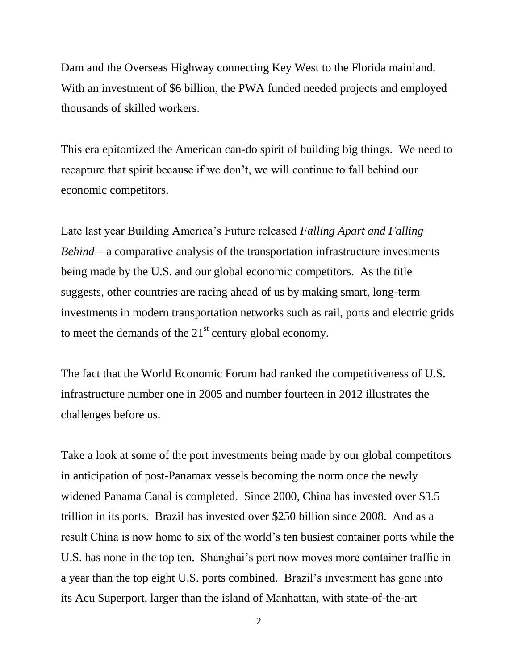Dam and the Overseas Highway connecting Key West to the Florida mainland. With an investment of \$6 billion, the PWA funded needed projects and employed thousands of skilled workers.

This era epitomized the American can-do spirit of building big things. We need to recapture that spirit because if we don't, we will continue to fall behind our economic competitors.

Late last year Building America's Future released *Falling Apart and Falling Behind* – a comparative analysis of the transportation infrastructure investments being made by the U.S. and our global economic competitors. As the title suggests, other countries are racing ahead of us by making smart, long-term investments in modern transportation networks such as rail, ports and electric grids to meet the demands of the  $21<sup>st</sup>$  century global economy.

The fact that the World Economic Forum had ranked the competitiveness of U.S. infrastructure number one in 2005 and number fourteen in 2012 illustrates the challenges before us.

Take a look at some of the port investments being made by our global competitors in anticipation of post-Panamax vessels becoming the norm once the newly widened Panama Canal is completed. Since 2000, China has invested over \$3.5 trillion in its ports. Brazil has invested over \$250 billion since 2008. And as a result China is now home to six of the world's ten busiest container ports while the U.S. has none in the top ten. Shanghai's port now moves more container traffic in a year than the top eight U.S. ports combined. Brazil's investment has gone into its Acu Superport, larger than the island of Manhattan, with state-of-the-art

2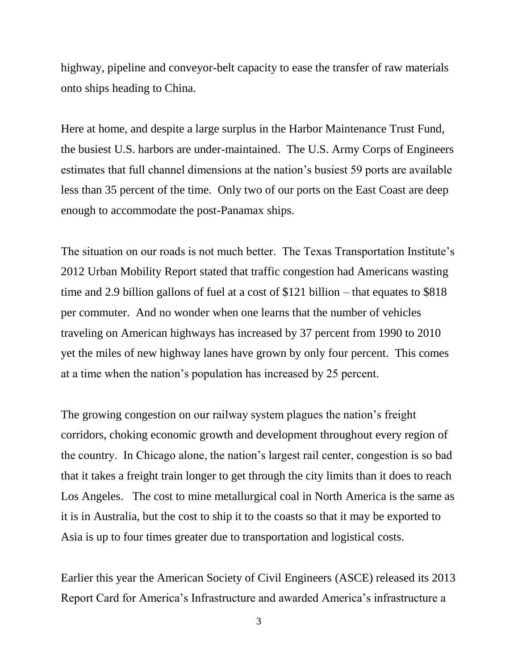highway, pipeline and conveyor-belt capacity to ease the transfer of raw materials onto ships heading to China.

Here at home, and despite a large surplus in the Harbor Maintenance Trust Fund, the busiest U.S. harbors are under-maintained. The U.S. Army Corps of Engineers estimates that full channel dimensions at the nation's busiest 59 ports are available less than 35 percent of the time. Only two of our ports on the East Coast are deep enough to accommodate the post-Panamax ships.

The situation on our roads is not much better. The Texas Transportation Institute's 2012 Urban Mobility Report stated that traffic congestion had Americans wasting time and 2.9 billion gallons of fuel at a cost of \$121 billion – that equates to \$818 per commuter. And no wonder when one learns that the number of vehicles traveling on American highways has increased by 37 percent from 1990 to 2010 yet the miles of new highway lanes have grown by only four percent. This comes at a time when the nation's population has increased by 25 percent.

The growing congestion on our railway system plagues the nation's freight corridors, choking economic growth and development throughout every region of the country. In Chicago alone, the nation's largest rail center, congestion is so bad that it takes a freight train longer to get through the city limits than it does to reach Los Angeles. The cost to mine metallurgical coal in North America is the same as it is in Australia, but the cost to ship it to the coasts so that it may be exported to Asia is up to four times greater due to transportation and logistical costs.

Earlier this year the American Society of Civil Engineers (ASCE) released its 2013 Report Card for America's Infrastructure and awarded America's infrastructure a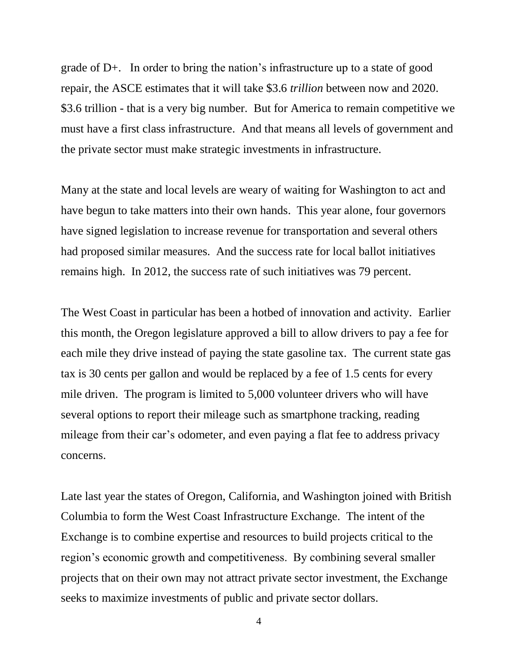grade of D+. In order to bring the nation's infrastructure up to a state of good repair, the ASCE estimates that it will take \$3.6 *trillion* between now and 2020. \$3.6 trillion - that is a very big number. But for America to remain competitive we must have a first class infrastructure. And that means all levels of government and the private sector must make strategic investments in infrastructure.

Many at the state and local levels are weary of waiting for Washington to act and have begun to take matters into their own hands. This year alone, four governors have signed legislation to increase revenue for transportation and several others had proposed similar measures. And the success rate for local ballot initiatives remains high. In 2012, the success rate of such initiatives was 79 percent.

The West Coast in particular has been a hotbed of innovation and activity. Earlier this month, the Oregon legislature approved a bill to allow drivers to pay a fee for each mile they drive instead of paying the state gasoline tax. The current state gas tax is 30 cents per gallon and would be replaced by a fee of 1.5 cents for every mile driven. The program is limited to 5,000 volunteer drivers who will have several options to report their mileage such as smartphone tracking, reading mileage from their car's odometer, and even paying a flat fee to address privacy concerns.

Late last year the states of Oregon, California, and Washington joined with British Columbia to form the West Coast Infrastructure Exchange. The intent of the Exchange is to combine expertise and resources to build projects critical to the region's economic growth and competitiveness. By combining several smaller projects that on their own may not attract private sector investment, the Exchange seeks to maximize investments of public and private sector dollars.

4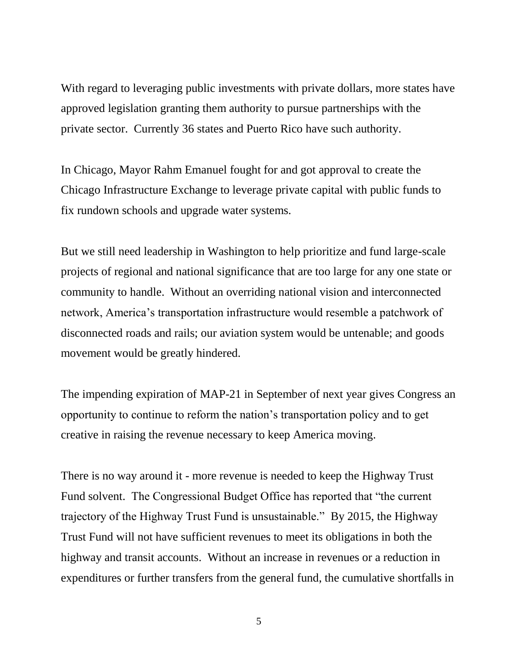With regard to leveraging public investments with private dollars, more states have approved legislation granting them authority to pursue partnerships with the private sector. Currently 36 states and Puerto Rico have such authority.

In Chicago, Mayor Rahm Emanuel fought for and got approval to create the Chicago Infrastructure Exchange to leverage private capital with public funds to fix rundown schools and upgrade water systems.

But we still need leadership in Washington to help prioritize and fund large-scale projects of regional and national significance that are too large for any one state or community to handle. Without an overriding national vision and interconnected network, America's transportation infrastructure would resemble a patchwork of disconnected roads and rails; our aviation system would be untenable; and goods movement would be greatly hindered.

The impending expiration of MAP-21 in September of next year gives Congress an opportunity to continue to reform the nation's transportation policy and to get creative in raising the revenue necessary to keep America moving.

There is no way around it - more revenue is needed to keep the Highway Trust Fund solvent. The Congressional Budget Office has reported that "the current trajectory of the Highway Trust Fund is unsustainable." By 2015, the Highway Trust Fund will not have sufficient revenues to meet its obligations in both the highway and transit accounts. Without an increase in revenues or a reduction in expenditures or further transfers from the general fund, the cumulative shortfalls in

5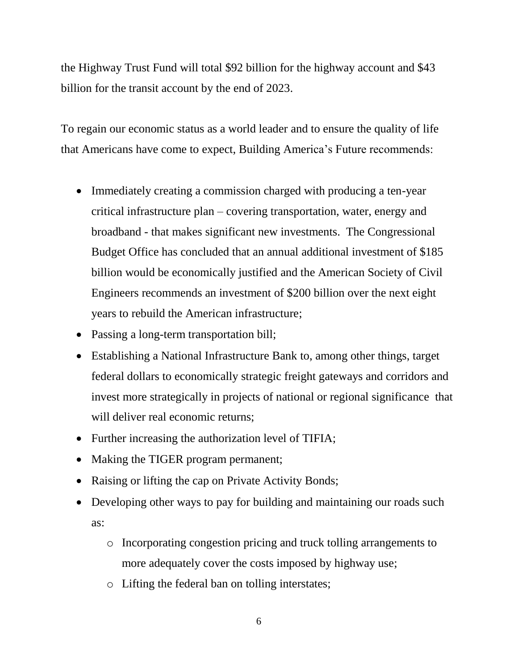the Highway Trust Fund will total \$92 billion for the highway account and \$43 billion for the transit account by the end of 2023.

To regain our economic status as a world leader and to ensure the quality of life that Americans have come to expect, Building America's Future recommends:

- Immediately creating a commission charged with producing a ten-year critical infrastructure plan – covering transportation, water, energy and broadband - that makes significant new investments. The Congressional Budget Office has concluded that an annual additional investment of \$185 billion would be economically justified and the American Society of Civil Engineers recommends an investment of \$200 billion over the next eight years to rebuild the American infrastructure;
- Passing a long-term transportation bill;
- Establishing a National Infrastructure Bank to, among other things, target federal dollars to economically strategic freight gateways and corridors and invest more strategically in projects of national or regional significance that will deliver real economic returns:
- Further increasing the authorization level of TIFIA;
- Making the TIGER program permanent;
- Raising or lifting the cap on Private Activity Bonds;
- Developing other ways to pay for building and maintaining our roads such as:
	- o Incorporating congestion pricing and truck tolling arrangements to more adequately cover the costs imposed by highway use;
	- o Lifting the federal ban on tolling interstates;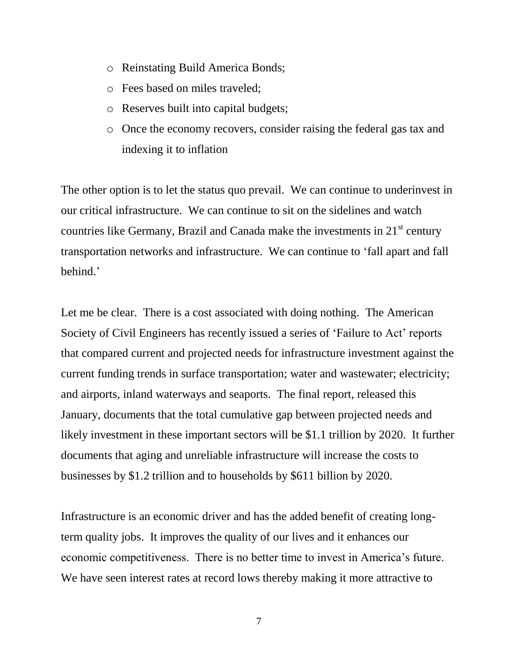- o Reinstating Build America Bonds;
- o Fees based on miles traveled;
- o Reserves built into capital budgets;
- o Once the economy recovers, consider raising the federal gas tax and indexing it to inflation

The other option is to let the status quo prevail. We can continue to underinvest in our critical infrastructure. We can continue to sit on the sidelines and watch countries like Germany, Brazil and Canada make the investments in  $21<sup>st</sup>$  century transportation networks and infrastructure. We can continue to 'fall apart and fall behind.'

Let me be clear. There is a cost associated with doing nothing. The American Society of Civil Engineers has recently issued a series of 'Failure to Act' reports that compared current and projected needs for infrastructure investment against the current funding trends in surface transportation; water and wastewater; electricity; and airports, inland waterways and seaports. The final report, released this January, documents that the total cumulative gap between projected needs and likely investment in these important sectors will be \$1.1 trillion by 2020. It further documents that aging and unreliable infrastructure will increase the costs to businesses by \$1.2 trillion and to households by \$611 billion by 2020.

Infrastructure is an economic driver and has the added benefit of creating longterm quality jobs. It improves the quality of our lives and it enhances our economic competitiveness. There is no better time to invest in America's future. We have seen interest rates at record lows thereby making it more attractive to